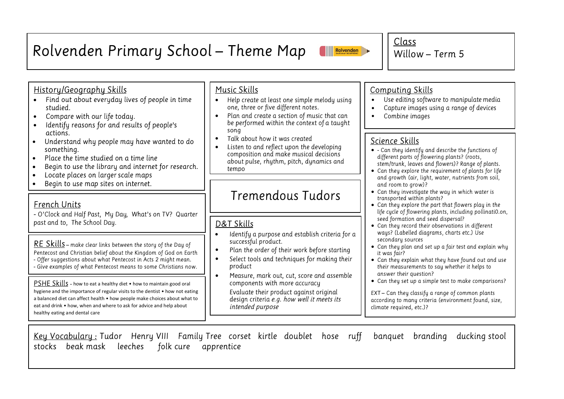#### Rolvenden Primary School - Theme Map Rolvenden

Willow - Term  $5$ 

### History/Geography Skills

- Find out about everyday lives of people in time  $\bullet$ studied
- Compare with our life today.  $\bullet$
- Identify reasons for and results of people's  $\bullet$ actions.
- Understand why people may have wanted to do  $\bullet$ something.
- Place the time studied on a time line  $\bullet$
- Begin to use the library and internet for research.  $\bullet$
- Locate places on larger scale maps  $\bullet$
- Begin to use map sites on internet.  $\bullet$

### French Units

Ξ

- O'Clock and Half Past, My Day, What's on TV? Quarter past and to, The School Day.

RE Skills - make clear links between the story of the Day of Pentecost and Christian belief about the Kingdom of God on Earth - Offer suggestions about what Pentecost in Acts 2 might mean.

- Give examples of what Pentecost means to some Christians now.

PSHE Skills - how to eat a healthy diet • how to maintain good oral hygiene and the importance of regular visits to the dentist • how not eating a balanced diet can affect health • how people make choices about what to eat and drink • how, when and where to ask for advice and help about healthy eating and dental care

### Music Skills

- Help create at least one simple melody using  $\bullet$ one, three or five different notes.
- Plan and create a section of music that can  $\bullet$ be performed within the context of a taught song
- Talk about how it was created  $\bullet$
- Listen to and reflect upon the developing  $\bullet$ composition and make musical decisions about pulse, rhythm, pitch, dynamics and tempo

# Tremendous Tudors

### D&T Skills

- Identifu a purpose and establish criteria for a  $\bullet$ successful product.
- Plan the order of their work before starting  $\bullet$
- Select tools and techniques for making their  $\bullet$ product
- $\bullet$ Measure, mark out, cut, score and assemble components with more accuracy Evaluate their product against original design criteria e.g. how well it meets its intended purpose

### Computing Skills

Class

- Use editina software to manipulate media  $\bullet$
- Capture images using a range of devices  $\bullet$
- $\bullet$ Combine images

### Science Skills

- Can they identify and describe the functions of different parts of flowering plants? (roots, stem/trunk, leaves and flowers)? Range of plants.
- Can they explore the requirement of plants for life and growth (air, light, water, nutrients from soil, and room to arow)?
- Can they investigate the way in which water is transported within plants?
- Can they explore the part that flowers play in the life cycle of flowering plants, including pollinati0.on, seed formation and seed dispersal?
- Can they record their observations in different waus? (Labelled diagrams, charts etc.) Use secondary sources
- Can they plan and set up a fair test and explain why it was fair?
- Can they explain what they have found out and use their measurements to say whether it helps to answer their question?
- Can they set up a simple test to make comparisons?

EXT - Can they classify a range of common plants according to many criteria (environment found, size, climate required, etc.)?

Key Vocabulary: Tudor Henry VIII Family Tree corset kirtle doublet hose ruff banquet branding ducking stool stocks beak mask leeches folk cure apprentice



I